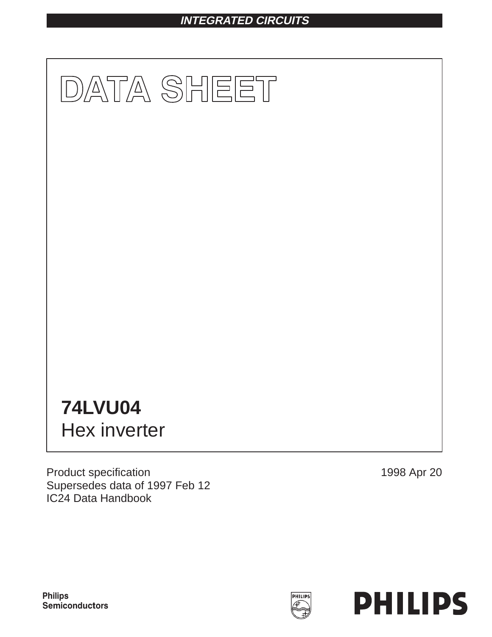# **INTEGRATED CIRCUITS**



Product specification Supersedes data of 1997 Feb 12 IC24 Data Handbook

1998 Apr 20



**Philips** Semiconductors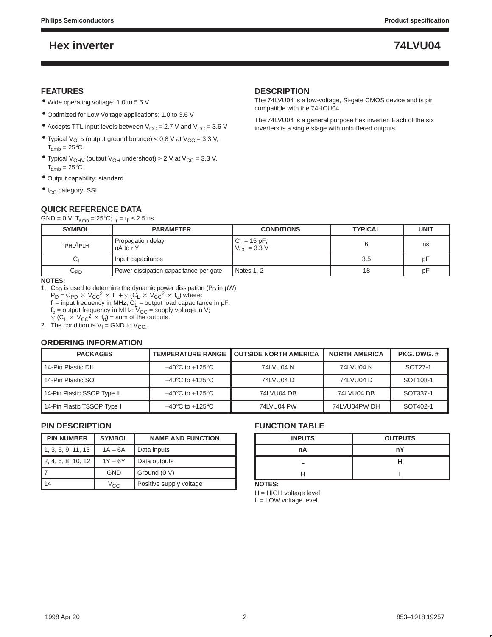### **FEATURES**

- Wide operating voltage: 1.0 to 5.5 V
- Optimized for Low Voltage applications: 1.0 to 3.6 V
- Accepts TTL input levels between  $V_{CC} = 2.7$  V and  $V_{CC} = 3.6$  V
- Typical  $V_{OLP}$  (output ground bounce) < 0.8 V at  $V_{CC} = 3.3$  V,  $T_{amb} = 25$ °C.
- Typical  $V_{OHV}$  (output  $V_{OH}$  undershoot) > 2 V at  $V_{CC}$  = 3.3 V,  $T_{amb} = 25^{\circ}C$ .
- Output capability: standard
- · I<sub>CC</sub> category: SSI

# **QUICK REFERENCE DATA**

GND = 0 V; T<sub>amb</sub> = 25°C;  $t_r = t_f \le 2.5$  ns

## **DESCRIPTION**

The 74LVU04 is a low-voltage, Si-gate CMOS device and is pin compatible with the 74HCU04.

The 74LVU04 is a general purpose hex inverter. Each of the six inverters is a single stage with unbuffered outputs.

| <b>SYMBOL</b><br><b>PARAMETER</b>                |            | <b>TYPICAL</b>                                         | <b>UNIT</b> |
|--------------------------------------------------|------------|--------------------------------------------------------|-------------|
| Propagation delay<br>$tpHL$ / $tpLH$<br>nA to nY |            |                                                        | ns          |
| Input capacitance                                |            | 3.5                                                    | рF          |
| Power dissipation capacitance per gate           | Notes 1, 2 | 18                                                     | рF          |
|                                                  |            | <b>CONDITIONS</b><br>$C_1 = 15$ pF;<br>$V_{C}$ = 3.3 V |             |

**NOTES:**

- 1. C<sub>PD</sub> is used to determine the dynamic power dissipation (P<sub>D</sub> in  $\mu$ W)  $P_D = C_{PD} \times V_{CC}^2 \times f_i + \sum (C_L \times V_{CC}^2 \times f_o)$  where:  $f_i$  = input frequency in MHz;  $C_L$  = output load capacitance in pF;  $f_0$  = output frequency in MHz; V<sub>CC</sub> = supply voltage in V;<br> $\sum$  (C<sub>L</sub> × V<sub>CC</sub><sup>2</sup> × f<sub>o</sub>) = sum of the outputs.
- 2. The condition is  $V_1$  = GND to  $V_{CC}$ .

### **ORDERING INFORMATION**

| <b>TEMPERATURE RANGE</b><br><b>PACKAGES</b> |                                     | <b>OUTSIDE NORTH AMERICA</b> | <b>NORTH AMERICA</b> | PKG. DWG. #          |
|---------------------------------------------|-------------------------------------|------------------------------|----------------------|----------------------|
| 14-Pin Plastic DIL                          | $-40^{\circ}$ C to $+125^{\circ}$ C | 74LVU04 N                    | 74LVU04 N            | SOT27-1              |
| 14-Pin Plastic SO                           | $-40^{\circ}$ C to $+125^{\circ}$ C | 74LVU04 D                    | 74LVU04 D            | SOT <sub>108-1</sub> |
| 14-Pin Plastic SSOP Type II                 | $-40^{\circ}$ C to $+125^{\circ}$ C | 74LVU04 DB                   | 74LVU04 DB           | SOT337-1             |
| 14-Pin Plastic TSSOP Type I                 | $-40^{\circ}$ C to $+125^{\circ}$ C | 74LVU04 PW                   | 74LVU04PW DH         | SOT402-1             |

## **PIN DESCRIPTION**

| <b>PIN NUMBER</b>  | <b>SYMBOL</b> | <b>NAME AND FUNCTION</b> |
|--------------------|---------------|--------------------------|
| 1, 3, 5, 9, 11, 13 | $1A - 6A$     | Data inputs              |
| 2, 4, 6, 8, 10, 12 | $1Y - 6Y$     | Data outputs             |
|                    | <b>GND</b>    | Ground (0 V)             |
| 14                 | $V_{\rm CC}$  | Positive supply voltage  |

## **FUNCTION TABLE**

| <b>INPUTS</b> | <b>OUTPUTS</b> |
|---------------|----------------|
| nA            | nY             |
|               |                |
|               |                |

**NOTES:**

H = HIGH voltage level L = LOW voltage level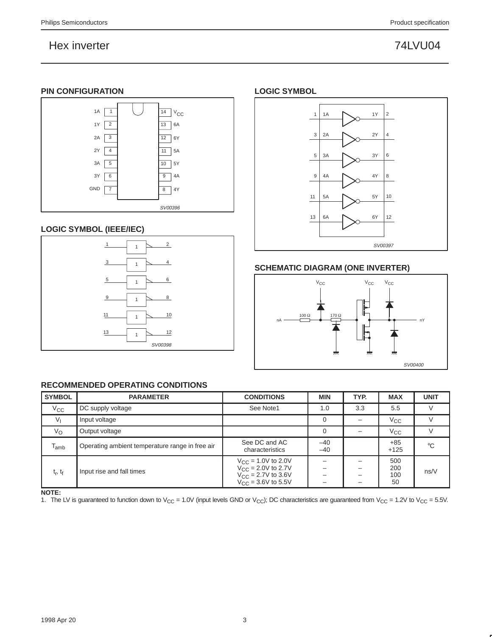## **PIN CONFIGURATION**



## **LOGIC SYMBOL (IEEE/IEC)**



# **RECOMMENDED OPERATING CONDITIONS**

| <b>SYMBOL</b> | <b>PARAMETER</b>                                | <b>CONDITIONS</b>                                                                                                      | <b>MIN</b>     | TYP.        | <b>MAX</b>              | <b>UNIT</b> |
|---------------|-------------------------------------------------|------------------------------------------------------------------------------------------------------------------------|----------------|-------------|-------------------------|-------------|
| $V_{\rm CC}$  | DC supply voltage                               | See Note1                                                                                                              | 1.0            | 3.3         | 5.5                     |             |
| $V_{1}$       | Input voltage                                   |                                                                                                                        |                |             | $V_{\rm CC}$            |             |
| $V_{\rm O}$   | Output voltage                                  |                                                                                                                        | 0              |             | $V_{\rm CC}$            |             |
| $T_{amb}$     | Operating ambient temperature range in free air | See DC and AC<br>characteristics                                                                                       | $-40$<br>$-40$ |             | $+85$<br>$+125$         | $^{\circ}C$ |
| $t_r, t_f$    | Input rise and fall times                       | $V_{\text{CC}}$ = 1.0V to 2.0V<br>$V_{CC} = 2.0V$ to 2.7V<br>$V_{\text{CC}} = 2.7V$ to 3.6V<br>$V_{CC} = 3.6V$ to 5.5V |                | -<br>-<br>- | 500<br>200<br>100<br>50 | ns/V        |

**NOTE:**

1. The LV is guaranteed to function down to  $V_{CC} = 1.0V$  (input levels GND or  $V_{CC}$ ); DC characteristics are guaranteed from  $V_{CC} = 1.2V$  to  $V_{CC} = 5.5V$ .

## **LOGIC SYMBOL**



# **SCHEMATIC DIAGRAM (ONE INVERTER)**

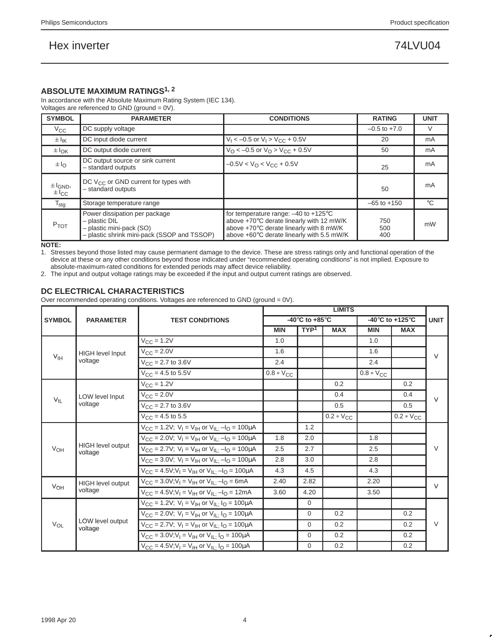## **ABSOLUTE MAXIMUM RATINGS1, 2**

In accordance with the Absolute Maximum Rating System (IEC 134). Voltages are referenced to GND (ground = 0V).

| <b>SYMBOL</b>                          | <b>PARAMETER</b>                                                                                                            | <b>CONDITIONS</b>                                                                                                                                                                    | <b>RATING</b>     | <b>UNIT</b>    |
|----------------------------------------|-----------------------------------------------------------------------------------------------------------------------------|--------------------------------------------------------------------------------------------------------------------------------------------------------------------------------------|-------------------|----------------|
| $V_{\rm CC}$                           | DC supply voltage                                                                                                           |                                                                                                                                                                                      | $-0.5$ to $+7.0$  | V              |
| $\pm I_{\rm IK}$                       | DC input diode current                                                                                                      | $V_1$ < -0.5 or $V_1$ > $V_{CC}$ + 0.5V                                                                                                                                              | 20                | m <sub>A</sub> |
| $\pm I_{\rm OK}$                       | DC output diode current                                                                                                     | $V_O < -0.5$ or $V_O > V_{CC} + 0.5V$                                                                                                                                                | 50                | m <sub>A</sub> |
| $\pm I_{\rm O}$                        | DC output source or sink current<br>$-0.5V < VO < VCC + 0.5V$<br>- standard outputs                                         |                                                                                                                                                                                      | 25                | mA             |
| $\pm I_{GND}$<br>$\pm$ I <sub>CC</sub> | DC $V_{CC}$ or GND current for types with<br>- standard outputs                                                             |                                                                                                                                                                                      | 50                | mA             |
| $T_{\text{stg}}$                       | Storage temperature range                                                                                                   |                                                                                                                                                                                      | $-65$ to $+150$   | $^{\circ}$ C   |
| <b>P</b> TOT                           | Power dissipation per package<br>$-$ plastic DIL<br>- plastic mini-pack (SO)<br>- plastic shrink mini-pack (SSOP and TSSOP) | for temperature range: $-40$ to $+125^{\circ}$ C<br>above +70°C derate linearly with 12 mW/K<br>above +70°C derate linearly with 8 mW/K<br>above +60°C derate linearly with 5.5 mW/K | 750<br>500<br>400 | mW             |

**NOTE:**

1. Stresses beyond those listed may cause permanent damage to the device. These are stress ratings only and functional operation of the device at these or any other conditions beyond those indicated under "recommended operating conditions" is not implied. Exposure to absolute-maximum-rated conditions for extended periods may affect device reliability.

2. The input and output voltage ratings may be exceeded if the input and output current ratings are observed.

### **DC ELECTRICAL CHARACTERISTICS**

Over recommended operating conditions. Voltages are referenced to GND (ground = 0V).

|                     |                                            |                                                                                                         | <b>LIMITS</b>                                        |                  |                |                |                                                       |             |
|---------------------|--------------------------------------------|---------------------------------------------------------------------------------------------------------|------------------------------------------------------|------------------|----------------|----------------|-------------------------------------------------------|-------------|
| <b>SYMBOL</b>       | <b>PARAMETER</b><br><b>TEST CONDITIONS</b> |                                                                                                         | -40 $\mathrm{^{\circ}C}$ to +85 $\mathrm{^{\circ}C}$ |                  |                |                | -40 $\mathrm{^{\circ}C}$ to +125 $\mathrm{^{\circ}C}$ | <b>UNIT</b> |
|                     |                                            |                                                                                                         | <b>MIN</b>                                           | TYP <sup>1</sup> | <b>MAX</b>     | <b>MIN</b>     | <b>MAX</b>                                            |             |
|                     |                                            | $V_{\text{CC}} = 1.2V$                                                                                  | 1.0                                                  |                  |                | 1.0            |                                                       |             |
| $V_{IH}$            | <b>HIGH level Input</b>                    | $V_{\text{CC}} = 2.0V$                                                                                  | 1.6                                                  |                  |                | 1.6            |                                                       | $\vee$      |
|                     | voltage                                    | $V_{\text{CC}} = 2.7$ to 3.6V                                                                           | 2.4                                                  |                  |                | 2.4            |                                                       |             |
|                     |                                            | $V_{\text{CC}} = 4.5$ to 5.5V                                                                           | $0.8 * V_{C}C$                                       |                  |                | $0.8 * V_{CC}$ |                                                       |             |
|                     |                                            | $V_{CC} = 1.2V$                                                                                         |                                                      |                  | 0.2            |                | 0.2                                                   |             |
|                     | <b>LOW level Input</b>                     | $V_{\text{CC}} = 2.0V$                                                                                  |                                                      |                  | 0.4            |                | 0.4                                                   | $\vee$      |
| $V_{IL}$<br>voltage |                                            | $V_{CC}$ = 2.7 to 3.6V                                                                                  |                                                      |                  | 0.5            |                | 0.5                                                   |             |
|                     |                                            | $V_{CC} = 4.5$ to 5.5                                                                                   |                                                      |                  | $0.2 * V_{CC}$ |                | $0.2 * V_{CC}$                                        |             |
|                     |                                            | $V_{CC} = 1.2V$ ; $V_I = V_{IH}$ or $V_{IL}$ ; $-I_O = 100 \mu A$                                       |                                                      | 1.2              |                |                |                                                       |             |
|                     |                                            | $V_{\text{CC}} = 2.0 V$ ; $V_{\text{I}} = V_{\text{IH}}$ or $V_{\text{II}} = -I_{\text{O}} = 100 \mu A$ | 1.8                                                  | 2.0              |                | 1.8            |                                                       |             |
| $V_{OH}$            | <b>HIGH</b> level output<br>voltage        | $V_{CC} = 2.7V$ ; $V_I = V_{IH}$ or $V_{IL}$ ; $-I_O = 100 \mu A$                                       | 2.5                                                  | 2.7              |                | 2.5            |                                                       | $\vee$      |
|                     |                                            | $V_{CC}$ = 3.0V; $V_1 = V_{IH}$ or $V_{IL}$ -l <sub>O</sub> = 100µA                                     | 2.8                                                  | 3.0              |                | 2.8            |                                                       |             |
|                     |                                            | $V_{CC} = 4.5V; V_1 = V_{IH}$ or $V_{IL}$ ; $-I_0 = 100 \mu A$                                          | 4.3                                                  | 4.5              |                | 4.3            |                                                       |             |
| VOH                 | HIGH level output                          | $V_{CC}$ = 3.0V;V <sub>I</sub> = V <sub>IH</sub> or V <sub>IL:</sub> -I <sub>O</sub> = 6mA              | 2.40                                                 | 2.82             |                | 2.20           |                                                       | $\vee$      |
|                     | voltage                                    | $V_{CC} = 4.5V; V_I = V_{IH}$ or $V_{ILi}$ -l <sub>O</sub> = 12mA                                       | 3.60                                                 | 4.20             |                | 3.50           |                                                       |             |
|                     |                                            | $V_{CC}$ = 1.2V; $V_1 = V_{IH}$ or $V_{IL}$ $I_Q$ = 100µA                                               |                                                      | $\Omega$         |                |                |                                                       |             |
|                     |                                            | $V_{CC} = 2.0V$ ; $V_1 = V_{1H}$ or $V_{1I} \cdot I_{0} = 100 \mu A$                                    |                                                      | $\Omega$         | 0.2            |                | 0.2                                                   |             |
| $V_{OL}$            | LOW level output<br>voltage                | $V_{CC}$ = 2.7V; $V_1 = V_{IH}$ or $V_{IL}$ $I_Q$ = 100µA                                               |                                                      | $\Omega$         | 0.2            |                | 0.2                                                   | $\vee$      |
|                     |                                            | $V_{CC}$ = 3.0V;V <sub>I</sub> = V <sub>IH</sub> or V <sub>IL:</sub> I <sub>O</sub> = 100µA             |                                                      | $\Omega$         | 0.2            |                | 0.2                                                   |             |
|                     |                                            | $V_{\text{CC}} = 4.5V; V_{\text{I}} = V_{\text{IH}}$ or $V_{\text{II}} \cdot I_{\text{O}} = 100 \mu A$  |                                                      | $\mathbf 0$      | 0.2            |                | 0.2                                                   |             |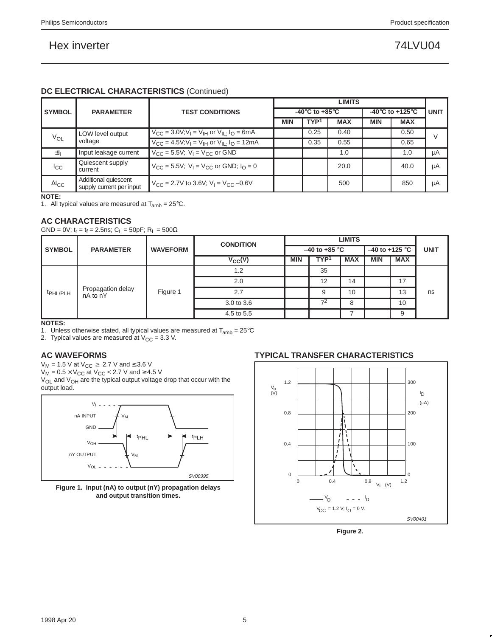## **DC ELECTRICAL CHARACTERISTICS** (Continued)

|                 |                                                        |                                                                                                      |                                      |                  | <b>LIMITS</b> |                                       |             |    |
|-----------------|--------------------------------------------------------|------------------------------------------------------------------------------------------------------|--------------------------------------|------------------|---------------|---------------------------------------|-------------|----|
| <b>SYMBOL</b>   | <b>PARAMETER</b>                                       | <b>TEST CONDITIONS</b>                                                                               | -40 $^{\circ}$ C to +85 $^{\circ}$ C |                  |               | -40 $^{\circ}$ C to +125 $^{\circ}$ C | <b>UNIT</b> |    |
|                 |                                                        |                                                                                                      | <b>MIN</b>                           | TYP <sup>1</sup> | <b>MAX</b>    | <b>MIN</b>                            | <b>MAX</b>  |    |
| VOL             | LOW level output                                       | $V_{\text{CC}} = 3.0 V, V_{\text{I}} = V_{\text{IH}}$ or $V_{\text{I}} = V_{\text{O}} = 6 \text{mA}$ |                                      | 0.25             | 0.40          |                                       | 0.50        | V  |
| voltage         | $V_{CC} = 4.5V; V_I = V_{IH}$ or $V_{IL}$ $I_O = 12mA$ |                                                                                                      | 0.35                                 | 0.55             |               | 0.65                                  |             |    |
| 围               | Input leakage current                                  | $V_{CC}$ = 5.5V; $V_1$ = $V_{CC}$ or GND                                                             |                                      |                  | 1.0           |                                       | 1.0         | μA |
| $_{\rm{lcc}}$   | Quiescent supply<br>current                            | $V_{CC} = 5.5V$ ; $V_1 = V_{CC}$ or GND; $I_0 = 0$                                                   |                                      |                  | 20.0          |                                       | 40.0        | μA |
| $\Delta I_{CC}$ | Additional quiescent<br>supply current per input       | $V_{\text{CC}}$ = 2.7V to 3.6V; V <sub>1</sub> = V <sub>CC</sub> -0.6V                               |                                      |                  | 500           |                                       | 850         | μA |

**NOTE:**

1. All typical values are measured at  $T_{amb} = 25^{\circ}$ C.

### **AC CHARACTERISTICS**

 $GND = 0V$ ;  $t_r = t_f = 2.5$ ns; C<sub>L</sub> = 50pF; R<sub>L</sub> = 500Ω

|                                                       |          | <b>CONDITION</b> |             | <b>LIMITS</b>             |                  |            |                            |            |             |
|-------------------------------------------------------|----------|------------------|-------------|---------------------------|------------------|------------|----------------------------|------------|-------------|
| <b>SYMBOL</b><br><b>PARAMETER</b>                     |          | <b>WAVEFORM</b>  |             | $-40$ to +85 $^{\circ}$ C |                  |            | $-40$ to +125 $^{\circ}$ C |            | <b>UNIT</b> |
|                                                       |          |                  | $V_{CC}(V)$ | <b>MIN</b>                | TYP <sup>1</sup> | <b>MAX</b> | <b>MIN</b>                 | <b>MAX</b> |             |
| Propagation delay<br>t <sub>PHL/PLH</sub><br>nA to nY |          |                  | 1.2         |                           | 35               |            |                            |            |             |
|                                                       |          |                  | 2.0         |                           | 12               | 14         |                            | 17         |             |
|                                                       | Figure 1 | 2.7              |             | 9                         | 10               |            | 13                         | ns         |             |
|                                                       |          |                  | 3.0 to 3.6  |                           | $7^2$            | 8          |                            | 10         |             |
|                                                       |          |                  | 4.5 to 5.5  |                           |                  |            |                            | 9          |             |

### **NOTES:**

1. Unless otherwise stated, all typical values are measured at  $T_{amb} = 25^{\circ}C$ 

2. Typical values are measured at  $V_{CC} = 3.3$  V.

# **AC WAVEFORMS**

 $V_M$  = 1.5 V at  $V_{CC} \ge 2.7$  V and  $\le 3.6$  V

 $V_{\mathsf{M}}$  = 0.5  $\times$  V<sub>CC</sub> at V<sub>CC</sub> < 2.7 V and ≥ 4.5 V

 $V_{OL}$  and  $V_{OH}$  are the typical output voltage drop that occur with the output load.



**Figure 1. Input (nA) to output (nY) propagation delays and output transition times.**

## **TYPICAL TRANSFER CHARACTERISTICS**



**Figure 2.**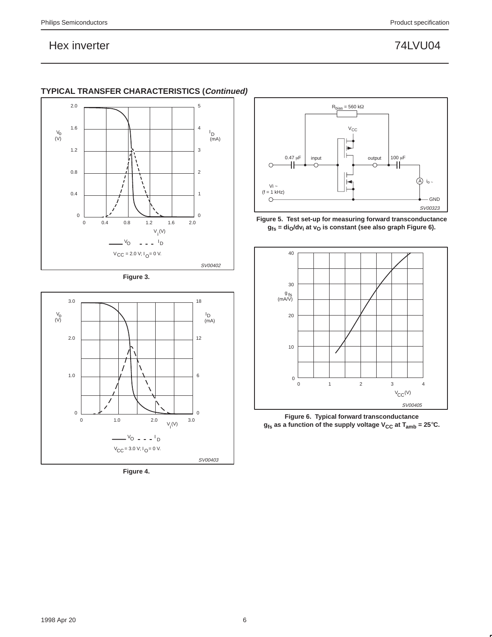

# **TYPICAL TRANSFER CHARACTERISTICS (Continued)**





**Figure 4.** 



**Figure 5. Test set-up for measuring forward transconductance**  $g_{fs}$  = di<sub>O</sub>/dv<sub>i</sub> at v<sub>O</sub> is constant (see also graph Figure 6).



**Figure 6. Typical forward transconductance**  $g_{fs}$  as a function of the supply voltage  $V_{CC}$  at  $T_{amb} = 25^{\circ}$ C.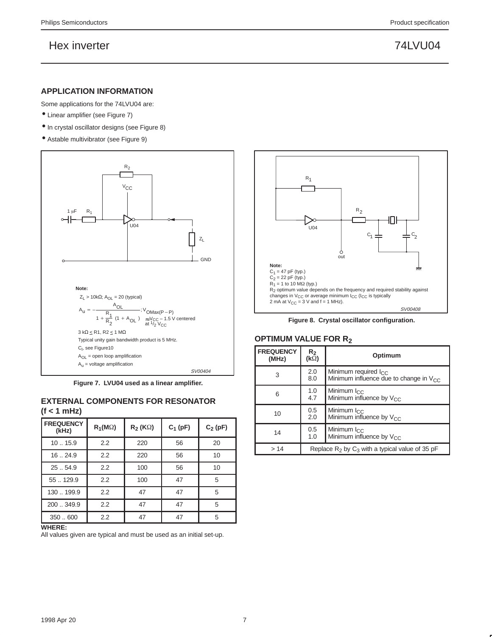### **APPLICATION INFORMATION**

- Some applications for the 74LVU04 are:
- Linear amplifier (see Figure 7)
- In crystal oscillator designs (see Figure 8)
- Astable multivibrator (see Figure 9)



**Figure 7. LVU04 used as a linear amplifier.**

### **EXTERNAL COMPONENTS FOR RESONATOR (f < 1 mHz)**

| <b>FREQUENCY</b><br>(kHz) | $R_1(M\Omega)$ | $R_2$ (K $\Omega$ ) | $C_1$ (pF) | $C_2(pF)$ |
|---------------------------|----------------|---------------------|------------|-----------|
| 1015.9                    | 2.2            | 220                 | 56         | 20        |
| 16.24.9                   | 2.2            | 220                 | 56         | 10        |
| 25  54.9                  | 2.2            | 100                 | 56         | 10        |
| 55129.9                   | 2.2            | 100                 | 47         | 5         |
| 130199.9                  | 2.2            | 47                  | 47         | 5         |
| 200  349.9                | 2.2            | 47                  | 47         | 5         |
| 350.600                   | 2.2            | 47                  | 47         | 5         |

### **WHERE:**

All values given are typical and must be used as an initial set-up.



**Figure 8. Crystal oscillator configuration.**

### **OPTIMUM VALUE FOR R2**

| <b>FREQUENCY</b><br>(MHz) | $R_{2}$<br>$(k\Omega)$ | Optimum                                                                  |  |  |  |
|---------------------------|------------------------|--------------------------------------------------------------------------|--|--|--|
| 3                         | 2.0<br>8.0             | Minimum required $I_{CC}$<br>Minimum influence due to change in $V_{CC}$ |  |  |  |
| 6                         | 1.0<br>4.7             | Minimum I <sub>CC</sub><br>Minimum influence by V <sub>CC</sub>          |  |  |  |
| 10                        | 0.5<br>2.0             | Minimum $I_{CC}$<br>Minimum influence by V <sub>CC</sub>                 |  |  |  |
| 14                        | 0.5<br>1.0             | Minimum I <sub>CC</sub><br>Minimum influence by $V_{CC}$                 |  |  |  |
| >14                       |                        | Replace $R_2$ by $C_3$ with a typical value of 35 pF                     |  |  |  |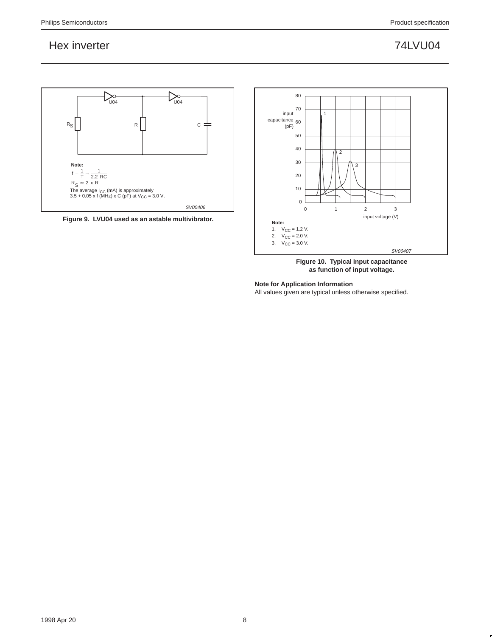

**Figure 9. LVU04 used as an astable multivibrator.**



**Figure 10. Typical input capacitance as function of input voltage.**

**Note for Application Information**

All values given are typical unless otherwise specified.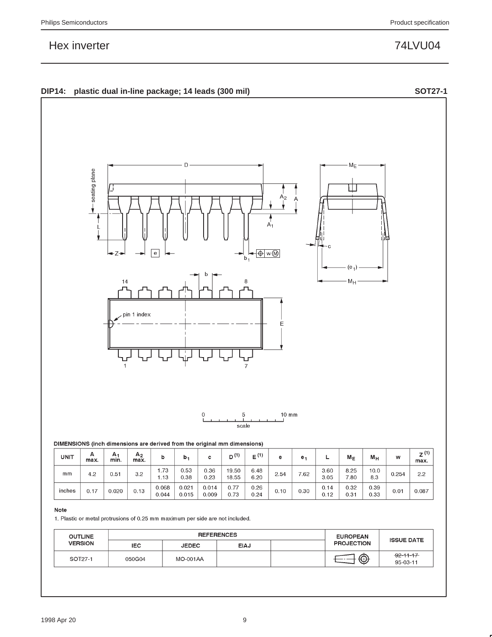**DIP14: plastic dual in-line package; 14 leads (300 mil) SOT27-1**





1. Plastic or metal protrusions of 0.25 mm maximum per side are not included.

 $0.044$ 

 $0.015$ 

 $0.009$ 

| <b>OUTLINE</b> |            | <b>REFERENCES</b> | <b>EUROPEAN</b> | <b>ISSUE DATE</b> |                   |                                   |
|----------------|------------|-------------------|-----------------|-------------------|-------------------|-----------------------------------|
| <b>VERSION</b> | <b>IEC</b> | <b>JEDEC</b>      | <b>EIAJ</b>     |                   | <b>PROJECTION</b> |                                   |
| SOT27-1        | 050G04     | <b>MO-001AA</b>   |                 |                   | ⊕                 | $-92 - 11 - 17$<br>$95 - 03 - 11$ |

 $0.24$ 

 $0.12$ 

 $0.31$ 

 $0.33$ 

0.73



г

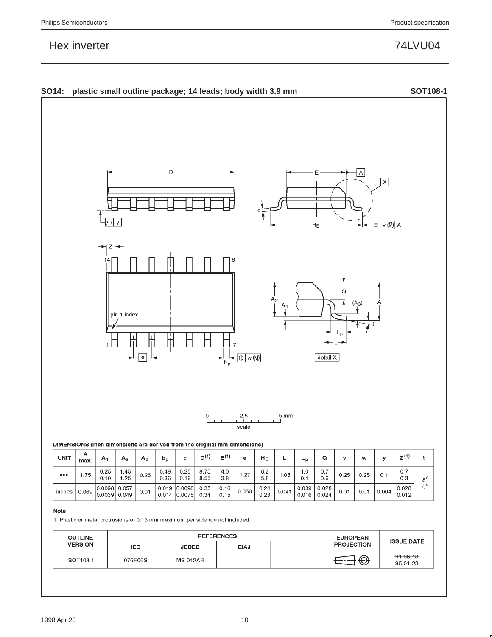

| <b>OUTLINE</b> | <b>REFERENCES</b> |                 |      |  | <b>EUROPEAN</b>   | <b>ISSUE DATE</b>          |
|----------------|-------------------|-----------------|------|--|-------------------|----------------------------|
| <b>VERSION</b> | <b>IEC</b>        | <b>JEDEC</b>    | EIAJ |  | <b>PROJECTION</b> |                            |
| SOT108-1       | 076E06S           | <b>MS-012AB</b> |      |  | ⊕                 | $91 - 08 - 13$<br>95-01-23 |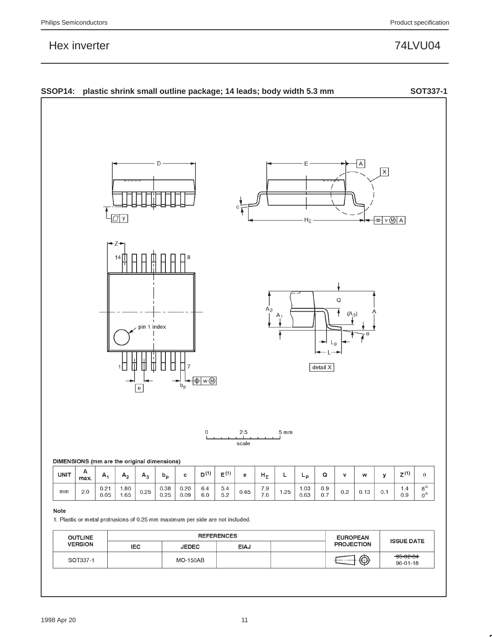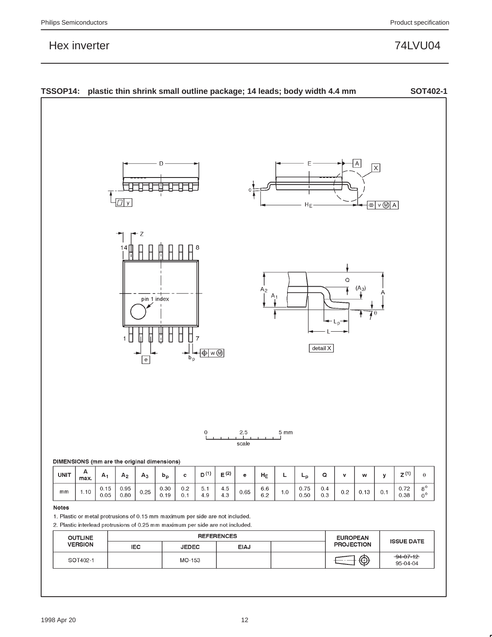

| <b>OUTLINE</b> | <b>REFERENCES</b> |              |             |  | <b>EUROPEAN</b>   | <b>ISSUE DATE</b>           |
|----------------|-------------------|--------------|-------------|--|-------------------|-----------------------------|
| <b>VERSION</b> | <b>IEC</b>        | <b>JEDEC</b> | <b>EIAJ</b> |  | <b>PROJECTION</b> |                             |
| SOT402-1       |                   | MO-153       |             |  | $\bigcirc$        | $-94 - 07 - 12$<br>95-04-04 |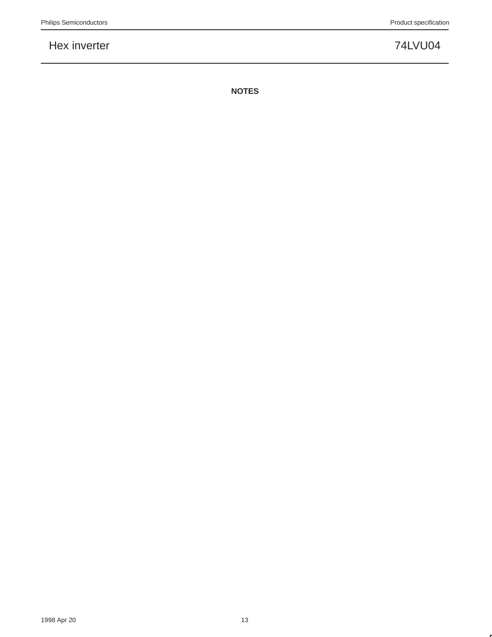**NOTES**